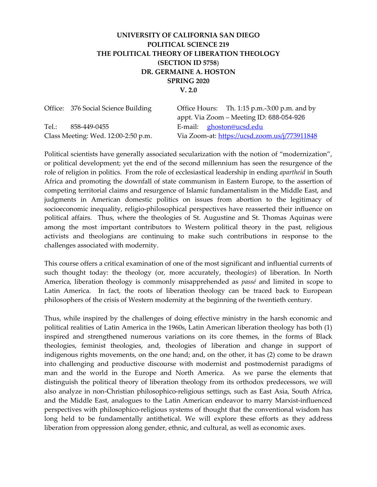# UNIVERSITY OF CALIFORNIA SAN DIEGO POLITICAL SCIENCE 219 THE POLITICAL THEORY OF LIBERATION THEOLOGY (SECTION ID 5758) DR. GERMAINE A. HOSTON SPRING 2020 V. 2.0

| Office: 376 Social Science Building | Office Hours: Th. $1:15$ p.m.-3:00 p.m. and by |
|-------------------------------------|------------------------------------------------|
|                                     | appt. Via Zoom – Meeting ID: 688-054-926       |
| Tel.:<br>858-449-0455               | E-mail: ghoston@ucsd.edu                       |
| Class Meeting: Wed. 12:00-2:50 p.m. | Via Zoom-at: https://ucsd.zoom.us/j/773911848  |

Political scientists have generally associated secularization with the notion of "modernization", or political development; yet the end of the second millennium has seen the resurgence of the role of religion in politics. From the role of ecclesiastical leadership in ending apartheid in South Africa and promoting the downfall of state communism in Eastern Europe, to the assertion of competing territorial claims and resurgence of Islamic fundamentalism in the Middle East, and judgments in American domestic politics on issues from abortion to the legitimacy of socioeconomic inequality, religio-philosophical perspectives have reasserted their influence on political affairs. Thus, where the theologies of St. Augustine and St. Thomas Aquinas were among the most important contributors to Western political theory in the past, religious activists and theologians are continuing to make such contributions in response to the challenges associated with modernity.

This course offers a critical examination of one of the most significant and influential currents of such thought today: the theology (or, more accurately, theologies) of liberation. In North America, liberation theology is commonly misapprehended as passé and limited in scope to Latin America. In fact, the roots of liberation theology can be traced back to European philosophers of the crisis of Western modernity at the beginning of the twentieth century.

Thus, while inspired by the challenges of doing effective ministry in the harsh economic and political realities of Latin America in the 1960s, Latin American liberation theology has both (1) inspired and strengthened numerous variations on its core themes, in the forms of Black theologies, feminist theologies, and, theologies of liberation and change in support of indigenous rights movements, on the one hand; and, on the other, it has (2) come to be drawn into challenging and productive discourse with modernist and postmodernist paradigms of man and the world in the Europe and North America. As we parse the elements that distinguish the political theory of liberation theology from its orthodox predecessors, we will also analyze in non-Christian philosophico-religious settings, such as East Asia, South Africa, and the Middle East, analogues to the Latin American endeavor to marry Marxist-influenced perspectives with philosophico-religious systems of thought that the conventional wisdom has long held to be fundamentally antithetical. We will explore these efforts as they address liberation from oppression along gender, ethnic, and cultural, as well as economic axes.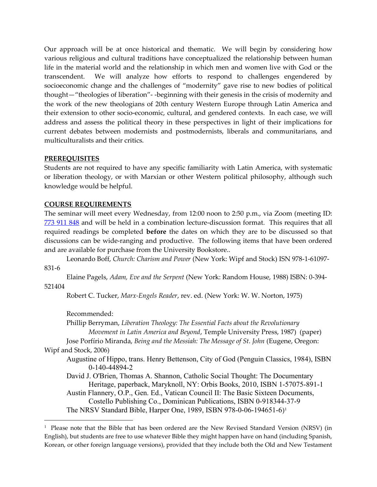Our approach will be at once historical and thematic. We will begin by considering how various religious and cultural traditions have conceptualized the relationship between human life in the material world and the relationship in which men and women live with God or the transcendent. We will analyze how efforts to respond to challenges engendered by socioeconomic change and the challenges of "modernity" gave rise to new bodies of political thought—"theologies of liberation"- -beginning with their genesis in the crisis of modernity and the work of the new theologians of 20th century Western Europe through Latin America and their extension to other socio-economic, cultural, and gendered contexts. In each case, we will address and assess the political theory in these perspectives in light of their implications for current debates between modernists and postmodernists, liberals and communitarians, and multiculturalists and their critics.

#### **PREREQUISITES**

Students are not required to have any specific familiarity with Latin America, with systematic or liberation theology, or with Marxian or other Western political philosophy, although such knowledge would be helpful.

## COURSE REQUIREMENTS

The seminar will meet every Wednesday, from 12:00 noon to 2:50 p.m., via Zoom (meeting ID: 773 911 848 and will be held in a combination lecture-discussion format. This requires that all required readings be completed before the dates on which they are to be discussed so that discussions can be wide-ranging and productive. The following items that have been ordered and are available for purchase from the University Bookstore..

 Leonardo Boff, Church: Charism and Power (New York: Wipf and Stock) ISN 978-1-61097- 831-6

 Elaine Pagels, Adam, Eve and the Serpent (New York: Random House, 1988) ISBN: 0-394- 521404

Robert C. Tucker, Marx-Engels Reader, rev. ed. (New York: W. W. Norton, 1975)

Recommended:

Phillip Berryman, Liberation Theology: The Essential Facts about the Revolutionary Movement in Latin America and Beyond, Temple University Press, 1987) (paper)

 Jose Porfírio Miranda, Being and the Messiah: The Message of St. John (Eugene, Oregon: Wipf and Stock, 2006)

- Augustine of Hippo, trans. Henry Bettenson, City of God (Penguin Classics, 1984), ISBN 0-140-44894-2
- David J. O'Brien, Thomas A. Shannon, Catholic Social Thought: The Documentary Heritage, paperback, Maryknoll, NY: Orbis Books, 2010, ISBN 1-57075-891-1

Austin Flannery, O.P., Gen. Ed., Vatican Council II: The Basic Sixteen Documents, Costello Publishing Co., Dominican Publications, ISBN 0-918344-37-9 The NRSV Standard Bible, Harper One, 1989, ISBN 978-0-06-194651-6) 1

<sup>&</sup>lt;sup>1</sup> Please note that the Bible that has been ordered are the New Revised Standard Version (NRSV) (in English), but students are free to use whatever Bible they might happen have on hand (including Spanish, Korean, or other foreign language versions), provided that they include both the Old and New Testament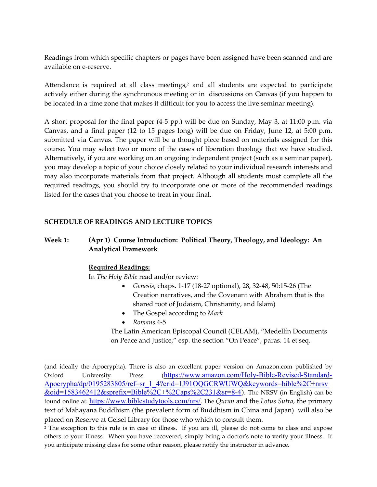Readings from which specific chapters or pages have been assigned have been scanned and are available on e-reserve.

Attendance is required at all class meetings,<sup>2</sup> and all students are expected to participate actively either during the synchronous meeting or in discussions on Canvas (if you happen to be located in a time zone that makes it difficult for you to access the live seminar meeting).

A short proposal for the final paper (4-5 pp.) will be due on Sunday, May 3, at 11:00 p.m. via Canvas, and a final paper (12 to 15 pages long) will be due on Friday, June 12, at 5:00 p.m. submitted via Canvas. The paper will be a thought piece based on materials assigned for this course. You may select two or more of the cases of liberation theology that we have studied. Alternatively, if you are working on an ongoing independent project (such as a seminar paper), you may develop a topic of your choice closely related to your individual research interests and may also incorporate materials from that project. Although all students must complete all the required readings, you should try to incorporate one or more of the recommended readings listed for the cases that you choose to treat in your final.

## SCHEDULE OF READINGS AND LECTURE TOPICS

# Week 1: (Apr 1) Course Introduction: Political Theory, Theology, and Ideology: An Analytical Framework

# Required Readings:

In The Holy Bible read and/or review:

- Genesis, chaps. 1-17 (18-27 optional), 28, 32-48, 50:15-26 (The Creation narratives, and the Covenant with Abraham that is the shared root of Judaism, Christianity, and Islam)
- The Gospel according to Mark
- Romans 4-5

 The Latin American Episcopal Council (CELAM), "Medellín Documents on Peace and Justice," esp. the section "On Peace", paras. 14 et seq.

(and ideally the Apocrypha). There is also an excellent paper version on Amazon.com published by Oxford University Press (https://www.amazon.com/Holy-Bible-Revised-Standard-Apocrypha/dp/0195283805/ref=sr\_1\_4?crid=1J91OQGCRWUWQ&keywords=bible%2C+nrsv &qid=1583462412&sprefix=Bible%2C+%2Caps%2C231&sr=8-4). The NRSV (in English) can be found online at: https://www.biblestudytools.com/nrs/. The Qurān and the Lotus Sutra, the primary text of Mahayana Buddhism (the prevalent form of Buddhism in China and Japan) will also be placed on Reserve at Geisel Library for those who which to consult them.

2 The exception to this rule is in case of illness. If you are ill, please do not come to class and expose others to your illness. When you have recovered, simply bring a doctor's note to verify your illness. If you anticipate missing class for some other reason, please notify the instructor in advance.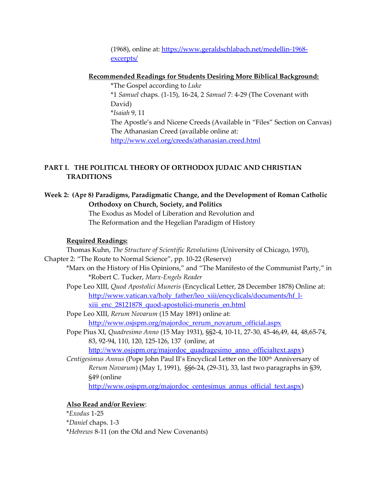(1968), online at: https://www.geraldschlabach.net/medellin-1968 excerpts/

#### Recommended Readings for Students Desiring More Biblical Background:

 \*The Gospel according to Luke \*1 Samuel chaps. (1-15), 16-24, 2 Samuel 7: 4-29 (The Covenant with David) \*Isaiah 9, 11 The Apostle's and Nicene Creeds (Available in "Files" Section on Canvas) The Athanasian Creed (available online at: http://www.ccel.org/creeds/athanasian.creed.html

## PART I. THE POLITICAL THEORY OF ORTHODOX JUDAIC AND CHRISTIAN TRADITIONS

# Week 2: (Apr 8) Paradigms, Paradigmatic Change, and the Development of Roman Catholic Orthodoxy on Church, Society, and Politics

 The Exodus as Model of Liberation and Revolution and The Reformation and the Hegelian Paradigm of History

#### Required Readings:

 Thomas Kuhn, The Structure of Scientific Revolutions (University of Chicago, 1970), Chapter 2: "The Route to Normal Science", pp. 10-22 (Reserve) \*Marx on the History of His Opinions," and "The Manifesto of the Communist Party," in \*Robert C. Tucker, Marx-Engels Reader Pope Leo XIII, Quod Apostolici Muneris (Encyclical Letter, 28 December 1878) Online at: http://www.vatican.va/holy\_father/leo\_xiii/encyclicals/documents/hf\_lxiii\_enc\_28121878\_quod-apostolici-muneris\_en.html Pope Leo XIII, Rerum Novarum (15 May 1891) online at: http://www.osjspm.org/majordoc\_rerum\_novarum\_official.aspx Pope Pius XI, Quadresimo Anno (15 May 1931), §§2-4, 10-11, 27-30, 45-46,49, 44, 48,65-74, 83, 92-94, 110, 120, 125-126, 137 (online, at http://www.osjspm.org/majordoc\_quadragesimo\_anno\_officialtext.aspx) Centigesimus Annus (Pope John Paul II's Encyclical Letter on the 100<sup>th</sup> Anniversary of Rerum Novarum) (May 1, 1991), §§6-24, (29-31), 33, last two paragraphs in §39, §49 (online

http://www.osjspm.org/majordoc\_centesimus\_annus\_official\_text.aspx)

## Also Read and/or Review:

 \*Exodus 1-25 \*Daniel chaps. 1-3 \*Hebrews 8-11 (on the Old and New Covenants)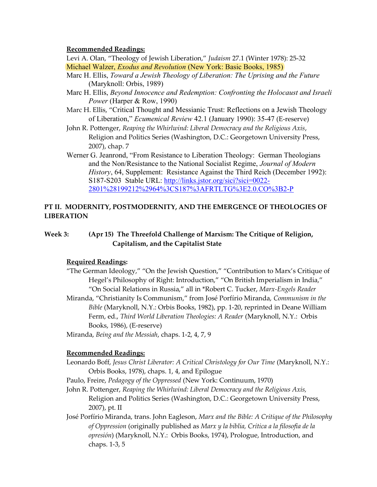#### Recommended Readings:

Levi A. Olan, "Theology of Jewish Liberation," Judaism 27.1 (Winter 1978): 25-32 Michael Walzer, Exodus and Revolution (New York: Basic Books, 1985)

- Marc H. Ellis, Toward a Jewish Theology of Liberation: The Uprising and the Future (Maryknoll: Orbis, 1989)
- Marc H. Ellis, Beyond Innocence and Redemption: Confronting the Holocaust and Israeli Power (Harper & Row, 1990)
- Marc H. Ellis, "Critical Thought and Messianic Trust: Reflections on a Jewish Theology of Liberation," Ecumenical Review 42.1 (January 1990): 35-47 (E-reserve)
- John R. Pottenger, Reaping the Whirlwind: Liberal Democracy and the Religious Axis, Religion and Politics Series (Washington, D.C.: Georgetown University Press, 2007), chap. 7
- Werner G. Jeanrond, "From Resistance to Liberation Theology: German Theologians and the Non/Resistance to the National Socialist Regime, Journal of Modern History, 64, Supplement: Resistance Against the Third Reich (December 1992): S187-S203 Stable URL: http://links.jstor.org/sici?sici=0022- 2801%28199212%2964%3CS187%3AFRTLTG%3E2.0.CO%3B2-P

## PT II. MODERNITY, POSTMODERNITY, AND THE EMERGENCE OF THEOLOGIES OF LIBERATION

Week 3: (Apr 15) The Threefold Challenge of Marxism: The Critique of Religion, Capitalism, and the Capitalist State

## Required Readings:

"The German Ideology," "On the Jewish Question," "Contribution to Marx's Critique of Hegel's Philosophy of Right: Introduction," "On British Imperialism in India," "On Social Relations in Russia," all in \*Robert C. Tucker, Marx-Engels Reader Miranda, "Christianity Is Communism," from José Porfírio Miranda, Communism in the Bible (Maryknoll, N.Y.: Orbis Books, 1982), pp. 1-20, reprinted in Deane William Ferm, ed., Third World Liberation Theologies: A Reader (Maryknoll, N.Y.: Orbis Books, 1986), (E-reserve)

Miranda, Being and the Messiah, chaps. 1-2, 4, 7, 9

#### Recommended Readings:

Leonardo Boff, Jesus Christ Liberator: A Critical Christology for Our Time (Maryknoll, N.Y.: Orbis Books, 1978), chaps. 1, 4, and Epilogue

- Paulo, Freire, Pedagogy of the Oppressed (New York: Continuum, 1970)
- John R. Pottenger, Reaping the Whirlwind: Liberal Democracy and the Religious Axis, Religion and Politics Series (Washington, D.C.: Georgetown University Press, 2007), pt. II
- José Porfírio Miranda, trans. John Eagleson, Marx and the Bible: A Critique of the Philosophy of Oppression (originally published as Marx y la biblia, Crítica a la filosofía de la opresión) (Maryknoll, N.Y.: Orbis Books, 1974), Prologue, Introduction, and chaps. 1-3, 5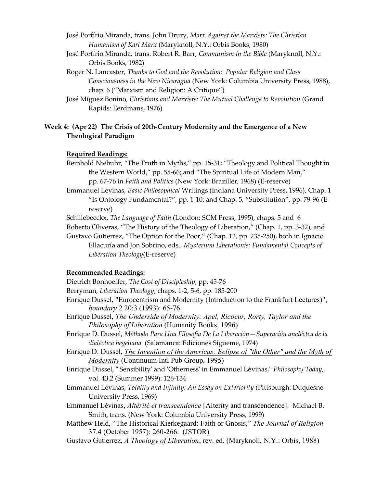- José Porfírio Miranda, trans. John Drury, Marx Against the Marxists: The Christian Humanism of Karl Marx (Maryknoll, N.Y.: Orbis Books, 1980)
- José Porfírio Miranda, trans. Robert R. Barr, Communism in the Bible (Maryknoll, N.Y.: Orbis Books, 1982)
- Roger N. Lancaster, Thanks to God and the Revolution: Popular Religion and Class Consciousness in the New Nicaragua (New York: Columbia University Press, 1988), chap. 6 ("Marxism and Religion: A Critique")
- José Míguez Bonino, Christians and Marxists: The Mutual Challenge to Revolution (Grand Rapids: Eerdmans, 1976)

# Week 4: (Apr 22) The Crisis of 20th-Century Modernity and the Emergence of a New Theological Paradigm

## Required Readings:

- Reinhold Niebuhr, "The Truth in Myths," pp. 15-31; "Theology and Political Thought in the Western World," pp. 55-66; and "The Spiritual Life of Modern Man," pp. 67-76 in Faith and Politics (New York: Braziller, 1968) (E-reserve)
- Emmanuel Levinas, Basic Philosophical Writings (Indiana University Press, 1996), Chap. 1 "Is Ontology Fundamental?", pp. 1-10; and Chap. 5, "Substitution", pp. 79-96 (Ereserve)

Schillebeeckx, The Language of Faith (London: SCM Press, 1995), chaps. 5 and 6

Roberto Oliveras, "The History of the Theology of Liberation," (Chap. 1, pp. 3-32), and

Gustavo Gutierrez, "The Option for the Poor," (Chap. 12, pp. 235-250), both in Ignacio Ellacuría and Jon Sobrino, eds., Mysterium Liberationis: Fundamental Concepts of Liberation Theology(E-reserve)

# Recommended Readings:

Dietrich Bonhoeffer, The Cost of Discipleship, pp. 45-76

- Berryman, Liberation Theology, chaps. 1-2, 5-6, pp. 185-200
- Enrique Dussel, "Eurocentrism and Modernity (Introduction to the Frankfurt Lectures)", boundary 2 20:3 (1993): 65-76
- Enrique Dussel, The Underside of Modernity: Apel, Ricoeur, Rorty, Taylor and the Philosophy of Liberation (Humanity Books, 1996)
- Enrique D. Dussel, Méthodo Para Una Filosofía De La Liberación—Superación analéctca de la dialéctica hegeliana (Salamanca: Ediciones Sígueme, 1974)
- Enrique D. Dussel, *The Invention of the Americas: Eclipse of "the Other" and the Myth of* Modernity (Continuum Intl Pub Group, 1995)
- Enrique Dussel, "'Sensibility' and 'Otherness' in Emmanuel Lévinas," Philosophy Today, vol. 43.2 (Summer 1999): 126-134
- Emmanuel Lévinas, Totality and Infinity: An Essay on Exteriority (Pittsburgh: Duquesne University Press, 1969)
- Emmanuel Lévinas, Altérité et transcendence [Alterity and transcendence]. Michael B. Smith, trans. (New York: Columbia University Press, 1999)

Matthew Held, "The Historical Kierkegaard: Faith or Gnosis," The Journal of Religion 37.4 (October 1957): 260-266. (JSTOR)

Gustavo Gutierrez, A Theology of Liberation, rev. ed. (Maryknoll, N.Y.: Orbis, 1988)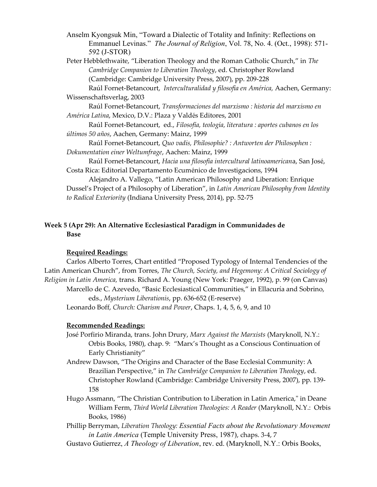Anselm Kyongsuk Min, "Toward a Dialectic of Totality and Infinity: Reflections on Emmanuel Levinas." The Journal of Religion, Vol. 78, No. 4. (Oct., 1998): 571- 592 (J-STOR)

Peter Hebblethwaite, "Liberation Theology and the Roman Catholic Church," in The Cambridge Companion to Liberation Theology, ed. Christopher Rowland (Cambridge: Cambridge University Press, 2007), pp. 209-228

 Raúl Fornet-Betancourt, Interculturalidad y filosofía en América, Aachen, Germany: Wissenschaftsverlag, 2003

 Raúl Fornet-Betancourt, Transformaciones del marxismo : historia del marxismo en América Latina, Mexico, D.V.: Plaza y Valdés Editores, 2001

 Raúl Fornet-Betancourt, ed., Filosofía, teología, literatura : aportes cubanos en los últimos 50 años, Aachen, Germany: Mainz, 1999

 Raúl Fornet-Betancourt, Quo vadis, Philosophie? : Antworten der Philosophen : Dokumentation einer Weltumfrage, Aachen: Mainz, 1999

 Raúl Fornet-Betancourt, Hacia una filosofía intercultural latinoamericana, San José, Costa Rica: Editorial Departamento Ecuménico de Investigacions, 1994

 Alejandro A. Vallego, "Latin American Philosophy and Liberation: Enrique Dussel's Project of a Philosophy of Liberation", in Latin American Philosophy from Identity to Radical Exteriority (Indiana University Press, 2014), pp. 52-75

# Week 5 (Apr 29): An Alternative Ecclesiastical Paradigm in Communidades de Base

# Required Readings:

Carlos Alberto Torres, Chart entitled "Proposed Typology of Internal Tendencies of the Latin American Church", from Torres, The Church, Society, and Hegemony: A Critical Sociology of Religion in Latin America, trans. Richard A. Young (New York: Praeger, 1992), p. 99 (on Canvas) Marcello de C. Azevedo, "Basic Ecclesiastical Communities," in Ellacuría and Sobrino, eds., Mysterium Liberationis, pp. 636-652 (E-reserve) Leonardo Boff, Church: Charism and Power, Chaps. 1, 4, 5, 6, 9, and 10

## Recommended Readings:

José Porfirio Miranda, trans. John Drury, Marx Against the Marxists (Maryknoll, N.Y.: Orbis Books, 1980), chap. 9: "Marx's Thought as a Conscious Continuation of Early Christianity"

- Andrew Dawson, "The Origins and Character of the Base Ecclesial Community: A Brazilian Perspective," in The Cambridge Companion to Liberation Theology, ed. Christopher Rowland (Cambridge: Cambridge University Press, 2007), pp. 139- 158
- Hugo Assmann, "The Christian Contribution to Liberation in Latin America," in Deane William Ferm, Third World Liberation Theologies: A Reader (Maryknoll, N.Y.: Orbis Books, 1986)
- Phillip Berryman, Liberation Theology: Essential Facts about the Revolutionary Movement in Latin America (Temple University Press, 1987), chaps. 3-4, 7
- Gustavo Gutierrez, A Theology of Liberation, rev. ed. (Maryknoll, N.Y.: Orbis Books,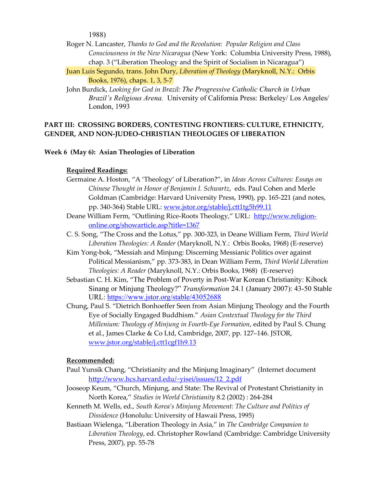1988)

- Roger N. Lancaster, Thanks to God and the Revolution: Popular Religion and Class Consciousness in the New Nicaragua (New York: Columbia University Press, 1988), chap. 3 ("Liberation Theology and the Spirit of Socialism in Nicaragua")
- Juan Luis Segundo, trans. John Dury, Liberation of Theology (Maryknoll, N.Y.: Orbis Books, 1976), chaps. 1, 3, 5-7
- John Burdick, Looking for God in Brazil: The Progressive Catholic Church in Urban Brazil's Religious Arena. University of California Press: Berkeley/ Los Angeles/ London, 1993

## PART III: CROSSING BORDERS, CONTESTING FRONTIERS: CULTURE, ETHNICITY, GENDER, AND NON-JUDEO-CHRISTIAN THEOLOGIES OF LIBERATION

#### Week 6 (May 6): Asian Theologies of Liberation

#### Required Readings:

- Germaine A. Hoston, "A 'Theology' of Liberation?", in Ideas Across Cultures: Essays on Chinese Thought in Honor of Benjamin I. Schwartz, eds. Paul Cohen and Merle Goldman (Cambridge: Harvard University Press, 1990), pp. 165-221 (and notes, pp. 340-364) Stable URL: www.jstor.org/stable/j.ctt1tg5h99.11
- Deane William Ferm, "Outlining Rice-Roots Theology," URL: http://www.religiononline.org/showarticle.asp?title=1367
- C. S. Song, "The Cross and the Lotus," pp. 300-323, in Deane William Ferm, Third World Liberation Theologies: A Reader (Maryknoll, N.Y.: Orbis Books, 1968) (E-reserve)
- Kim Yong-bok, "Messiah and Minjung: Discerning Messianic Politics over against Political Messianism," pp. 373-383, in Dean William Ferm, Third World Liberation Theologies: A Reader (Maryknoll, N.Y.: Orbis Books, 1968) (E-reserve)
- Sebastian C. H. Kim, "The Problem of Poverty in Post-War Korean Christianity: Kibock Sinang or Minjung Theology?" Transformation 24.1 (January 2007): 43-50 Stable URL: https://www.jstor.org/stable/43052688
- Chung, Paul S. "Dietrich Bonhoeffer Seen from Asian Minjung Theology and the Fourth Eye of Socially Engaged Buddhism." Asian Contextual Theology for the Third Millenium: Theology of Minjung in Fourth-Eye Formation, edited by Paul S. Chung et al., James Clarke & Co Ltd, Cambridge, 2007, pp. 127–146. JSTOR, www.jstor.org/stable/j.ctt1cgf1h9.13

#### Recommended:

- Paul Yunsik Chang, "Christianity and the Minjung Imaginary" (Internet document http://www.hcs.harvard.edu/~yisei/issues/12\_2.pdf
- Jooseop Keum, "Church, Minjung, and State: The Revival of Protestant Christianity in North Korea," Studies in World Christianity 8.2 (2002) : 264-284
- Kenneth M. Wells, ed., South Korea's Minjung Movement: The Culture and Politics of Dissidence (Honolulu: University of Hawaii Press, 1995)
- Bastiaan Wielenga, "Liberation Theology in Asia," in The Cambridge Companion to Liberation Theology, ed. Christopher Rowland (Cambridge: Cambridge University Press, 2007), pp. 55-78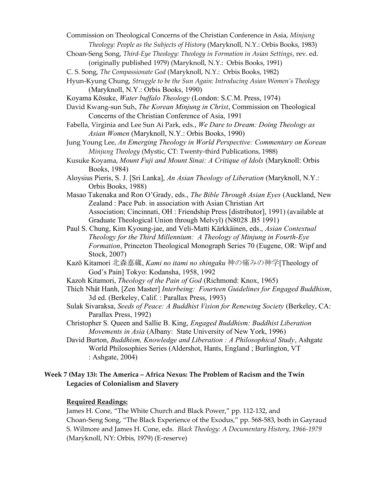Commission on Theological Concerns of the Christian Conference in Asia, Minjung Theology: People as the Subjects of History (Maryknoll, N.Y.: Orbis Books, 1983)

Choan-Seng Song, Third-Eye Theology: Theology in Formation in Asian Settings, rev. ed. (originally published 1979) (Maryknoll, N.Y.: Orbis Books, 1991)

C. S. Song, The Compassionate God (Maryknoll, N.Y.: Orbis Books, 1982)

- Hyun-Kyung Chung, Struggle to be the Sun Again: Introducing Asian Women's Theology (Maryknoll, N.Y.: Orbis Books, 1990)
- Koyama Kōsuke, Water buffalo Theology (London: S.C.M. Press, 1974)
- David Kwang-sun Suh, The Korean Minjung in Christ, Commission on Theological Concerns of the Christian Conference of Asia, 1991
- Fabella, Virginia and Lee Sun Ai Park, eds., We Dare to Dream: Doing Theology as Asian Women (Maryknoll, N.Y.: Orbis Books, 1990)
- Jung Young Lee, An Emerging Theology in World Perspective: Commentary on Korean Minjung Theology (Mystic, CT: Twenty-third Publications, 1988)
- Kusuke Koyama, Mount Fuji and Mount Sinai: A Critique of Idols (Maryknoll: Orbis Books, 1984)
- Aloysius Pieris, S. J. [Sri Lanka], An Asian Theology of Liberation (Maryknoll, N.Y.: Orbis Books, 1988)
- Masao Takenaka and Ron O'Grady, eds., The Bible Through Asian Eyes (Auckland, New Zealand : Pace Pub. in association with Asian Christian Art Association; Cincinnati, OH : Friendship Press [distributor], 1991) (available at Graduate Theological Union through Melvyl) (N8028 .B5 1991)
- Paul S. Chung, Kim Kyoung-jae, and Veli-Matti Kärkkäinen, eds., Asian Contextual Theology for the Third Millennium: A Theology of Minjung in Fourth-Eye Formation, Princeton Theological Monograph Series 70 (Eugene, OR: Wipf and Stock, 2007)
- Kazō Kitamori 北森嘉蔵, Kami no itami no shingaku 神の痛みの神学[Theology of God's Pain] Tokyo: Kodansha, 1958, 1992
- Kazoh Kitamori, Theology of the Pain of God (Richmond: Knox, 1965)
- Thích Nhât Hanh, [Zen Master] Interbeing: Fourteen Guidelines for Engaged Buddhism, 3d ed. (Berkeley, Calif. : Parallax Press, 1993)
- Sulak Sivaraksa, Seeds of Peace: A Buddhist Vision for Renewing Society (Berkeley, CA: Parallax Press, 1992)
- Christopher S. Queen and Sallie B. King, Engaged Buddhism: Buddhist Liberation Movements in Asia (Albany: State University of New York, 1996)
- David Burton, Buddhism, Knowledge and Liberation : A Philosophical Study, Ashgate World Philosophies Series (Aldershot, Hants, England ; Burlington, VT : Ashgate, 2004)

## Week 7 (May 13): The America – Africa Nexus: The Problem of Racism and the Twin Legacies of Colonialism and Slavery

## Required Readings:

James H. Cone, "The White Church and Black Power," pp. 112-132, and Choan-Seng Song, "The Black Experience of the Exodus," pp. 568-583, both in Gayraud S. Wilmore and James H. Cone, eds. Black Theology: A Documentary History, 1966-1979 (Maryknoll, NY: Orbis, 1979) (E-reserve)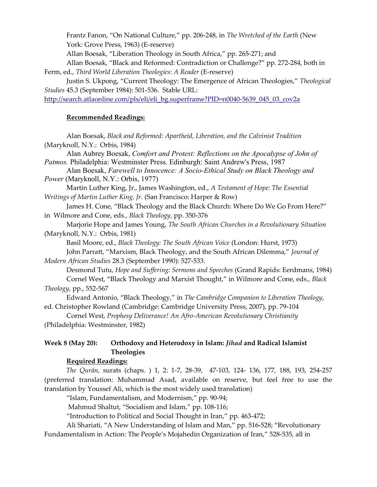Frantz Fanon, "On National Culture," pp. 206-248, in The Wretched of the Earth (New York: Grove Press, 1963) (E-reserve)

Allan Boesak, "Liberation Theology in South Africa," pp. 265-271; and

Allan Boesak, "Black and Reformed: Contradiction or Challenge?" pp. 272-284, both in Ferm, ed., Third World Liberation Theologies: A Reader (E-reserve)

Justin S. Ukpong, "Current Theology: The Emergence of African Theologies," Theological Studies 45.3 (September 1984): 501-536. Stable URL:

http://search.atlaonline.com/pls/eli/eli\_bg.superframe?PID=n0040-5639\_045\_03\_cov2a

## Recommended Readings:

 Alan Boesak, Black and Reformed: Apartheid, Liberation, and the Calvinist Tradition (Maryknoll, N.Y.: Orbis, 1984)

Alan Aubrey Boesak, Comfort and Protest: Reflections on the Apocalypse of John of Patmos. Philadelphia: Westminster Press. Edinburgh: Saint Andrew's Press, 1987

 Alan Boesak, Farewell to Innocence: A Socio-Ethical Study on Black Theology and Power (Maryknoll, N.Y.: Orbis, 1977)

Martin Luther King, Jr., James Washington, ed., A Testament of Hope: The Essential Writings of Martin Luther King, Jr. (San Francisco: Harper & Row)

James H. Cone, "Black Theology and the Black Church: Where Do We Go From Here?" in Wilmore and Cone, eds., Black Theology, pp. 350-376

Marjorie Hope and James Young, The South African Churches in a Revolutionary Situation (Maryknoll, N.Y.: Orbis, 1981)

Basil Moore, ed., Black Theology: The South African Voice (London: Hurst, 1973)

John Parratt, "Marxism, Black Theology, and the South African Dilemma," Journal of Modern African Studies 28.3 (September 1990): 527-533.

Desmond Tutu, Hope and Suffering: Sermons and Speeches (Grand Rapids: Eerdmans, 1984) Cornel West, "Black Theology and Marxist Thought," in Wilmore and Cone, eds., Black Theology, pp., 552-567

Edward Antonio, "Black Theology," in The Cambridge Companion to Liberation Theology, ed. Christopher Rowland (Cambridge: Cambridge University Press, 2007), pp. 79-104

Cornel West, Prophesy Deliverance! An Afro-American Revolutionary Christianity (Philadelphia: Westminster, 1982)

# Week 8 (May 20): Orthodoxy and Heterodoxy in Islam: Jihad and Radical Islamist Theologies

## Required Readings:

The Qurān, surats (chaps. ) 1, 2: 1-7, 28-39, 47-103, 124- 136, 177, 188, 193, 254-257 (preferred translation: Muhammad Asad, available on reserve, but feel free to use the translation by Youssef Ali, which is the most widely used translation)

"Islam, Fundamentalism, and Modernism," pp. 90-94;

Mahmud Shaltut, "Socialism and Islam," pp. 108-116;

"Introduction to Political and Social Thought in Iran," pp. 463-472;

Ali Shariati, "A New Understanding of Islam and Man," pp. 516-528; "Revolutionary Fundamentalism in Action: The People's Mojahedin Organization of Iran," 528-535, all in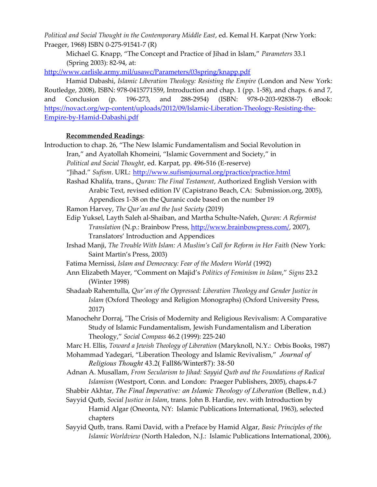Political and Social Thought in the Contemporary Middle East, ed. Kemal H. Karpat (Nrw York: Praeger, 1968) ISBN 0-275-91541-7 (R)

Michael G. Knapp, "The Concept and Practice of Jihad in Islam," Parameters 33.1 (Spring 2003): 82-94, at:

http://www.carlisle.army.mil/usawc/Parameters/03spring/knapp.pdf

Hamid Dabashi, Islamic Liberation Theology: Resisting the Empire (London and New York: Routledge, 2008), ISBN: 978-0415771559, Introduction and chap. 1 (pp. 1-58), and chaps. 6 and 7, and Conclusion (p. 196-273, and 288-2954) (ISBN: 978-0-203-92838-7) eBook: https://novact.org/wp-content/uploads/2012/09/Islamic-Liberation-Theology-Resisting-the-Empire-by-Hamid-Dabashi.pdf

## Recommended Readings:

- Introduction to chap. 26, "The New Islamic Fundamentalism and Social Revolution in Iran," and Ayatollah Khomeini, "Islamic Government and Society," in Political and Social Thought, ed. Karpat, pp. 496-516 (E-reserve) "Jihad." Sufism. URL: http://www.sufismjournal.org/practice/practice.html Rashad Khalifa, trans., Quran: The Final Testament, Authorized English Version with Arabic Text, revised edition IV (Capistrano Beach, CA: Submission.org, 2005), Appendices 1-38 on the Quranic code based on the number 19 Ramon Harvey, The Qur'an and the Just Society (2019) Edip Yuksel, Layth Saleh al-Shaiban, and Martha Schulte-Nafeh, Quran: A Reformist Translation (N.p.: Brainbow Press, http://www.brainbowpress.com/, 2007), Translators' Introduction and Appendices Irshad Manji, The Trouble With Islam: A Muslim's Call for Reform in Her Faith (New York: Saint Martin's Press, 2003)
	- Fatima Mernissi, Islam and Democracy: Fear of the Modern World (1992)
	- Ann Elizabeth Mayer, "Comment on Majid's Politics of Feminism in Islam," Signs 23.2 (Winter 1998)
	- Shadaab Rahemtulla, Qur'an of the Oppressed: Liberation Theology and Gender Justice in Islam (Oxford Theology and Religion Monographs) (Oxford University Press, 2017)
	- Manochehr Dorraj, "The Crisis of Modernity and Religious Revivalism: A Comparative Study of Islamic Fundamentalism, Jewish Fundamentalism and Liberation Theology," Social Compass 46.2 (1999): 225-240
	- Marc H. Ellis, Toward a Jewish Theology of Liberation (Maryknoll, N.Y.: Orbis Books, 1987)
	- Mohammad Yadegari, "Liberation Theology and Islamic Revivalism," Journal of Religious Thought 43.2( Fall86/Winter87): 38-50
	- Adnan A. Musallam, From Secularism to Jihad: Sayyid Qutb and the Foundations of Radical Islamism (Westport, Conn. and London: Praeger Publishers, 2005), chaps.4-7
	- Shabbir Akhtar, The Final Imperative: an Islamic Theology of Liberation (Bellew, n.d.)
	- Sayyid Qutb, Social Justice in Islam, trans. John B. Hardie, rev. with Introduction by Hamid Algar (Oneonta, NY: Islamic Publications International, 1963), selected chapters
	- Sayyid Qutb, trans. Rami David, with a Preface by Hamid Algar, Basic Principles of the Islamic Worldview (North Haledon, N.J.: Islamic Publications International, 2006),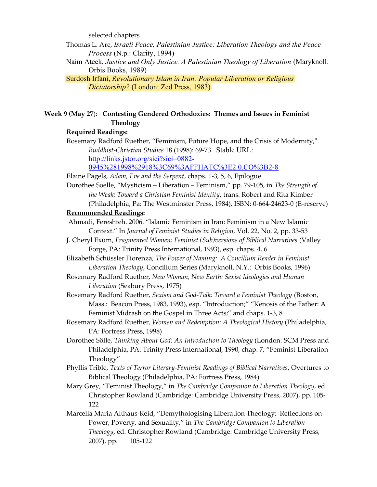selected chapters

Thomas L. Are, Israeli Peace, Palestinian Justice: Liberation Theology and the Peace Process (N.p.: Clarity, 1994)

Naim Ateek, Justice and Only Justice. A Palestinian Theology of Liberation (Maryknoll: Orbis Books, 1989)

Surdosh Irfani, Revolutionary Islam in Iran: Popular Liberation or Religious Dictatorship? (London: Zed Press, 1983)

# Week 9 (May 27): Contesting Gendered Orthodoxies: Themes and Issues in Feminist Theology

## Required Readings:

Rosemary Radford Ruether, "Feminism, Future Hope, and the Crisis of Modernity," Buddhist-Christian Studies 18 (1998): 69-73. Stable URL: http://links.jsto<u>r.org/sici?sici=0882-</u>

0945%281998%2918%3C69%3AFFHATC%3E2.0.CO%3B2-8

Elaine Pagels, Adam, Eve and the Serpent, chaps. 1-3, 5, 6, Epilogue

Dorothee Soelle, "Mysticism – Liberation – Feminism," pp. 79-105, in The Strength of the Weak: Toward a Christian Feminist Identity, trans. Robert and Rita Kimber (Philadelphia, Pa: The Westminster Press, 1984), ISBN: 0-664-24623-0 (E-reserve)

## Recommended Readings:

- Ahmadi, Fereshteh. 2006. "Islamic Feminism in Iran: Feminism in a New Islamic Context." In Journal of Feminist Studies in Religion, Vol. 22, No. 2, pp. 33-53
- J. Cheryl Exum, Fragmented Women: Feminist (Sub)versions of Biblical Narratives (Valley Forge, PA: Trinity Press International, 1993), esp. chaps. 4, 6

Elizabeth Schüssler Fiorenza, The Power of Naming: A Concilium Reader in Feminist Liberation Theology, Concilium Series (Maryknoll, N.Y.: Orbis Books, 1996)

Rosemary Radford Ruether, New Woman, New Earth: Sexist Ideologies and Human Liberation (Seabury Press, 1975)

- Rosemary Radford Ruether, Sexism and God-Talk: Toward a Feminist Theology (Boston, Mass.: Beacon Press, 1983, 1993), esp. "Introduction;" "Kenosis of the Father: A Feminist Midrash on the Gospel in Three Acts;" and chaps. 1-3, 8
- Rosemary Radford Ruether, Women and Redemption: A Theological History (Philadelphia, PA: Fortress Press, 1998)
- Dorothee Sölle, Thinking About God: An Introduction to Theology (London: SCM Press and Philadelphia, PA: Trinity Press International, 1990, chap. 7, "Feminist Liberation Theology"

Phyllis Trible, Texts of Terror Literary-Feminist Readings of Biblical Narratives, Overtures to Biblical Theology (Philadelphia, PA: Fortress Press, 1984)

- Mary Grey, "Feminist Theology," in The Cambridge Companion to Liberation Theology, ed. Christopher Rowland (Cambridge: Cambridge University Press, 2007), pp. 105- 122
- Marcella Maria Althaus-Reid, "Demythologising Liberation Theology: Reflections on Power, Poverty, and Sexuality," in The Cambridge Companion to Liberation Theology, ed. Christopher Rowland (Cambridge: Cambridge University Press, 2007), pp. 105-122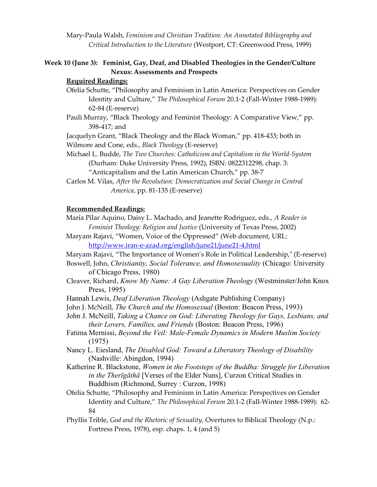Mary-Paula Walsh, Feminism and Christian Tradition: An Annotated Bibliography and Critical Introduction to the Literature (Westport, CT: Greenwood Press, 1999)

## Week 10 (June 3): Feminist, Gay, Deaf, and Disabled Theologies in the Gender/Culture Nexus: Assessments and Prospects

#### Required Readings:

- Ofelia Schutte, "Philosophy and Feminism in Latin America: Perspectives on Gender Identity and Culture," The Philosophical Forum 20.1-2 (Fall-Winter 1988-1989): 62-84 (E-reserve)
- Pauli Murray, "Black Theology and Feminist Theology: A Comparative View," pp. 398-417; and

 Jacquelyn Grant, "Black Theology and the Black Woman," pp. 418-433; both in Wilmore and Cone, eds., Black Theology (E-reserve)

Michael L. Budde, The Two Churches: Catholicism and Capitalism in the World-System (Durham: Duke University Press, 1992), ISBN: 0822312298, chap. 3:

"Anticapitalism and the Latin American Church," pp. 38-7

Carlos M. Vilas, After the Revolution: Democratization and Social Change in Central America, pp. 81-135 (E-reserve)

#### Recommended Readings:

María Pilar Aquino, Daisy L. Machado, and Jeanette Rodriguez, eds., A Reader in Feminist Theology: Religion and Justice (University of Texas Press, 2002)

Maryam Rajavi, "Women, Voice of the Oppressed" (Web document, URL: http://www.iran-e-azad.org/english/june21/june21-4.html

- Maryam Rajavi, "The Importance of Women's Role in Political Leadership," (E-reserve)
- Boswell, John, Christianity, Social Tolerance, and Homosexuality (Chicago: University of Chicago Press, 1980)
- Cleaver, Richard, Know My Name: A Gay Liberation Theology (Westminster/John Knox Press, 1995)
- Hannah Lewis, Deaf Liberation Theology (Ashgate Publishing Company)
- John J. McNeill, *The Church and the Homosexual* (Boston: Beacon Press, 1993)
- John J. McNeill, Taking a Chance on God: Liberating Theology for Gays, Lesbians, and their Lovers, Families, and Friends (Boston: Beacon Press, 1996)
- Fatima Mernissi, Beyond the Veil: Male-Female Dynamics in Modern Muslim Society (1975)
- Nancy L. Eiesland, The Disabled God: Toward a Liberatory Theology of Disability (Nashville: Abingdon, 1994)
- Katherine R. Blackstone, Women in the Footsteps of the Buddha: Struggle for Liberation in the Therīgāthā [Verses of the Elder Nuns], Curzon Critical Studies in Buddhism (Richmond, Surrey : Curzon, 1998)

Ofelia Schutte, "Philosophy and Feminism in Latin America: Perspectives on Gender Identity and Culture," The Philosophical Forum 20.1-2 (Fall-Winter 1988-1989): 62- 84

Phyllis Trible, God and the Rhetoric of Sexuality, Overtures to Biblical Theology (N.p.: Fortress Press, 1978), esp. chaps. 1, 4 (and 5)